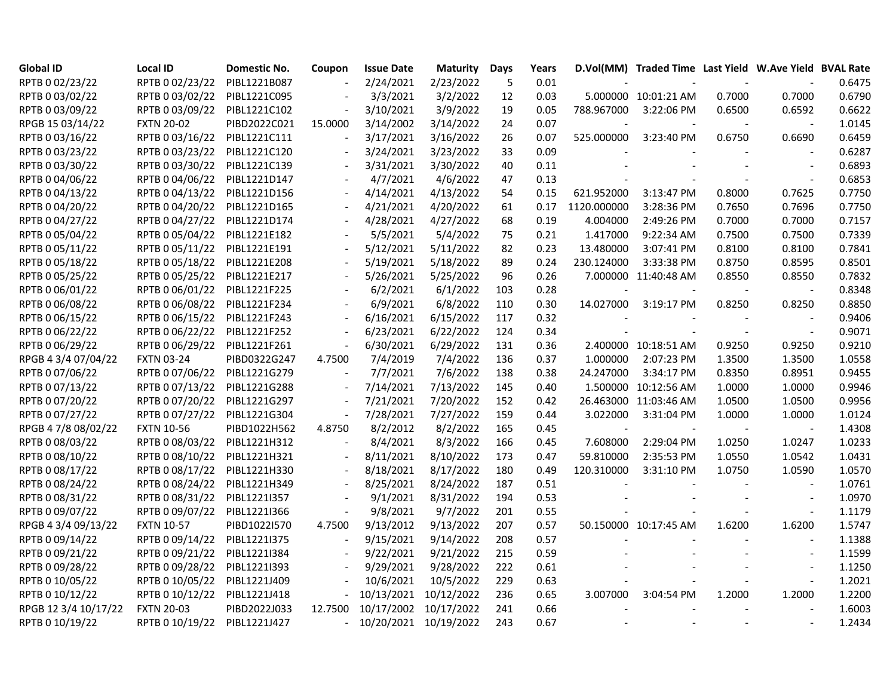| <b>Global ID</b>     | <b>Local ID</b>              | <b>Domestic No.</b> | Coupon  | <b>Issue Date</b>     | <b>Maturity</b> | Days | Years |                          | D.Vol(MM) Traded Time Last Yield W.Ave Yield BVAL Rate |        |                          |        |
|----------------------|------------------------------|---------------------|---------|-----------------------|-----------------|------|-------|--------------------------|--------------------------------------------------------|--------|--------------------------|--------|
| RPTB 0 02/23/22      | RPTB 0 02/23/22              | PIBL1221B087        |         | 2/24/2021             | 2/23/2022       | 5    | 0.01  |                          |                                                        |        |                          | 0.6475 |
| RPTB 0 03/02/22      | RPTB 0 03/02/22              | PIBL1221C095        |         | 3/3/2021              | 3/2/2022        | 12   | 0.03  |                          | 5.000000 10:01:21 AM                                   | 0.7000 | 0.7000                   | 0.6790 |
| RPTB 0 03/09/22      | RPTB 0 03/09/22              | PIBL1221C102        |         | 3/10/2021             | 3/9/2022        | 19   | 0.05  | 788.967000               | 3:22:06 PM                                             | 0.6500 | 0.6592                   | 0.6622 |
| RPGB 15 03/14/22     | <b>FXTN 20-02</b>            | PIBD2022C021        | 15.0000 | 3/14/2002             | 3/14/2022       | 24   | 0.07  |                          |                                                        |        |                          | 1.0145 |
| RPTB 0 03/16/22      | RPTB 0 03/16/22              | PIBL1221C111        |         | 3/17/2021             | 3/16/2022       | 26   | 0.07  | 525.000000               | 3:23:40 PM                                             | 0.6750 | 0.6690                   | 0.6459 |
| RPTB 0 03/23/22      | RPTB 0 03/23/22 PIBL1221C120 |                     |         | 3/24/2021             | 3/23/2022       | 33   | 0.09  |                          |                                                        |        |                          | 0.6287 |
| RPTB 0 03/30/22      | RPTB 0 03/30/22              | PIBL1221C139        |         | 3/31/2021             | 3/30/2022       | 40   | 0.11  |                          |                                                        |        | $\sim$                   | 0.6893 |
| RPTB 0 04/06/22      | RPTB 0 04/06/22              | PIBL1221D147        |         | 4/7/2021              | 4/6/2022        | 47   | 0.13  |                          |                                                        |        | $\overline{\phantom{a}}$ | 0.6853 |
| RPTB 0 04/13/22      | RPTB 0 04/13/22              | PIBL1221D156        |         | 4/14/2021             | 4/13/2022       | 54   | 0.15  | 621.952000               | 3:13:47 PM                                             | 0.8000 | 0.7625                   | 0.7750 |
| RPTB 0 04/20/22      | RPTB 0 04/20/22              | PIBL1221D165        |         | 4/21/2021             | 4/20/2022       | 61   | 0.17  | 1120.000000              | 3:28:36 PM                                             | 0.7650 | 0.7696                   | 0.7750 |
| RPTB 0 04/27/22      | RPTB 0 04/27/22              | PIBL1221D174        |         | 4/28/2021             | 4/27/2022       | 68   | 0.19  | 4.004000                 | 2:49:26 PM                                             | 0.7000 | 0.7000                   | 0.7157 |
| RPTB 0 05/04/22      | RPTB 0 05/04/22              | PIBL1221E182        |         | 5/5/2021              | 5/4/2022        | 75   | 0.21  | 1.417000                 | 9:22:34 AM                                             | 0.7500 | 0.7500                   | 0.7339 |
| RPTB 0 05/11/22      | RPTB 0 05/11/22              | PIBL1221E191        |         | 5/12/2021             | 5/11/2022       | 82   | 0.23  | 13.480000                | 3:07:41 PM                                             | 0.8100 | 0.8100                   | 0.7841 |
| RPTB 0 05/18/22      | RPTB 0 05/18/22              | PIBL1221E208        |         | 5/19/2021             | 5/18/2022       | 89   | 0.24  | 230.124000               | 3:33:38 PM                                             | 0.8750 | 0.8595                   | 0.8501 |
| RPTB 0 05/25/22      | RPTB 0 05/25/22              | PIBL1221E217        |         | 5/26/2021             | 5/25/2022       | 96   | 0.26  |                          | 7.000000 11:40:48 AM                                   | 0.8550 | 0.8550                   | 0.7832 |
| RPTB 0 06/01/22      | RPTB 0 06/01/22 PIBL1221F225 |                     |         | 6/2/2021              | 6/1/2022        | 103  | 0.28  |                          |                                                        |        |                          | 0.8348 |
| RPTB 0 06/08/22      | RPTB 0 06/08/22              | PIBL1221F234        |         | 6/9/2021              | 6/8/2022        | 110  | 0.30  | 14.027000                | 3:19:17 PM                                             | 0.8250 | 0.8250                   | 0.8850 |
| RPTB 0 06/15/22      | RPTB 0 06/15/22              | PIBL1221F243        |         | 6/16/2021             | 6/15/2022       | 117  | 0.32  |                          |                                                        |        | $\sim$                   | 0.9406 |
| RPTB 0 06/22/22      | RPTB 0 06/22/22              | PIBL1221F252        |         | 6/23/2021             | 6/22/2022       | 124  | 0.34  | $\overline{\phantom{a}}$ | $\sim$                                                 |        | $\overline{\phantom{a}}$ | 0.9071 |
| RPTB 0 06/29/22      | RPTB 0 06/29/22              | PIBL1221F261        |         | 6/30/2021             | 6/29/2022       | 131  | 0.36  |                          | 2.400000 10:18:51 AM                                   | 0.9250 | 0.9250                   | 0.9210 |
| RPGB 4 3/4 07/04/22  | <b>FXTN 03-24</b>            | PIBD0322G247        | 4.7500  | 7/4/2019              | 7/4/2022        | 136  | 0.37  | 1.000000                 | 2:07:23 PM                                             | 1.3500 | 1.3500                   | 1.0558 |
| RPTB 0 07/06/22      | RPTB 0 07/06/22 PIBL1221G279 |                     |         | 7/7/2021              | 7/6/2022        | 138  | 0.38  | 24.247000                | 3:34:17 PM                                             | 0.8350 | 0.8951                   | 0.9455 |
| RPTB 0 07/13/22      | RPTB 0 07/13/22              | PIBL1221G288        |         | 7/14/2021             | 7/13/2022       | 145  | 0.40  |                          | 1.500000 10:12:56 AM                                   | 1.0000 | 1.0000                   | 0.9946 |
| RPTB 0 07/20/22      | RPTB 0 07/20/22              | PIBL1221G297        |         | 7/21/2021             | 7/20/2022       | 152  | 0.42  |                          | 26.463000 11:03:46 AM                                  | 1.0500 | 1.0500                   | 0.9956 |
| RPTB 0 07/27/22      | RPTB 0 07/27/22              | PIBL1221G304        |         | 7/28/2021             | 7/27/2022       | 159  | 0.44  | 3.022000                 | 3:31:04 PM                                             | 1.0000 | 1.0000                   | 1.0124 |
| RPGB 4 7/8 08/02/22  | <b>FXTN 10-56</b>            | PIBD1022H562        | 4.8750  | 8/2/2012              | 8/2/2022        | 165  | 0.45  |                          |                                                        |        |                          | 1.4308 |
| RPTB 0 08/03/22      | RPTB 0 08/03/22              | PIBL1221H312        |         | 8/4/2021              | 8/3/2022        | 166  | 0.45  | 7.608000                 | 2:29:04 PM                                             | 1.0250 | 1.0247                   | 1.0233 |
| RPTB 0 08/10/22      | RPTB 0 08/10/22              | PIBL1221H321        |         | 8/11/2021             | 8/10/2022       | 173  | 0.47  | 59.810000                | 2:35:53 PM                                             | 1.0550 | 1.0542                   | 1.0431 |
| RPTB 0 08/17/22      | RPTB 0 08/17/22              | PIBL1221H330        |         | 8/18/2021             | 8/17/2022       | 180  | 0.49  | 120.310000               | 3:31:10 PM                                             | 1.0750 | 1.0590                   | 1.0570 |
| RPTB 0 08/24/22      | RPTB 0 08/24/22              | PIBL1221H349        |         | 8/25/2021             | 8/24/2022       | 187  | 0.51  |                          |                                                        |        | $\sim$                   | 1.0761 |
| RPTB 0 08/31/22      | RPTB 0 08/31/22              | PIBL1221I357        |         | 9/1/2021              | 8/31/2022       | 194  | 0.53  |                          |                                                        |        | $\sim$                   | 1.0970 |
| RPTB 0 09/07/22      | RPTB 0 09/07/22              | PIBL1221I366        |         | 9/8/2021              | 9/7/2022        | 201  | 0.55  |                          |                                                        |        | $\sim$                   | 1.1179 |
| RPGB 4 3/4 09/13/22  | <b>FXTN 10-57</b>            | PIBD1022I570        | 4.7500  | 9/13/2012             | 9/13/2022       | 207  | 0.57  |                          | 50.150000 10:17:45 AM                                  | 1.6200 | 1.6200                   | 1.5747 |
| RPTB 0 09/14/22      | RPTB 0 09/14/22 PIBL1221I375 |                     |         | 9/15/2021             | 9/14/2022       | 208  | 0.57  |                          |                                                        |        | $\overline{\phantom{a}}$ | 1.1388 |
| RPTB 0 09/21/22      | RPTB 0 09/21/22              | PIBL1221I384        |         | 9/22/2021             | 9/21/2022       | 215  | 0.59  |                          |                                                        |        | $\sim$                   | 1.1599 |
| RPTB 0 09/28/22      | RPTB 0 09/28/22              | PIBL1221I393        |         | 9/29/2021             | 9/28/2022       | 222  | 0.61  |                          |                                                        |        | $\overline{\phantom{a}}$ | 1.1250 |
| RPTB 0 10/05/22      | RPTB 0 10/05/22              | PIBL1221J409        |         | 10/6/2021             | 10/5/2022       | 229  | 0.63  |                          |                                                        |        | $\overline{a}$           | 1.2021 |
| RPTB 0 10/12/22      | RPTB 0 10/12/22              | PIBL1221J418        |         | 10/13/2021            | 10/12/2022      | 236  | 0.65  | 3.007000                 | 3:04:54 PM                                             | 1.2000 | 1.2000                   | 1.2200 |
| RPGB 12 3/4 10/17/22 | <b>FXTN 20-03</b>            | PIBD2022J033        | 12.7500 | 10/17/2002            | 10/17/2022      | 241  | 0.66  |                          |                                                        |        |                          | 1.6003 |
| RPTB 0 10/19/22      | RPTB 0 10/19/22              | PIBL1221J427        |         | 10/20/2021 10/19/2022 |                 | 243  | 0.67  |                          |                                                        |        |                          | 1.2434 |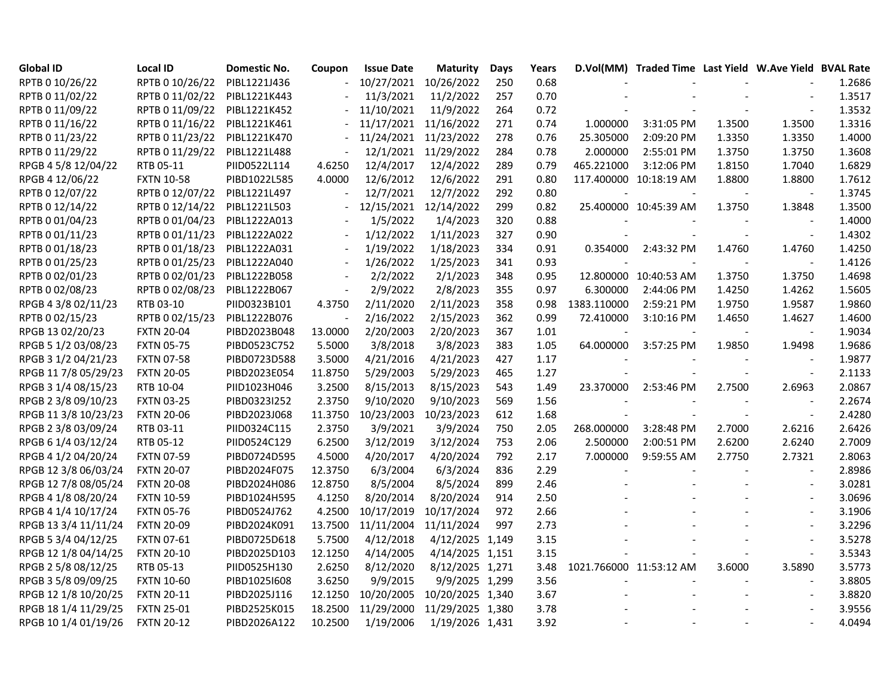| <b>Global ID</b>     | <b>Local ID</b>   | <b>Domestic No.</b> | Coupon  | <b>Issue Date</b> | Maturity         | Days | Years |                         | D.Vol(MM) Traded Time Last Yield W.Ave Yield BVAL Rate |        |                          |        |
|----------------------|-------------------|---------------------|---------|-------------------|------------------|------|-------|-------------------------|--------------------------------------------------------|--------|--------------------------|--------|
| RPTB 0 10/26/22      | RPTB 0 10/26/22   | PIBL1221J436        |         | 10/27/2021        | 10/26/2022       | 250  | 0.68  |                         |                                                        |        |                          | 1.2686 |
| RPTB 0 11/02/22      | RPTB 0 11/02/22   | PIBL1221K443        |         | 11/3/2021         | 11/2/2022        | 257  | 0.70  |                         |                                                        |        |                          | 1.3517 |
| RPTB 0 11/09/22      | RPTB 0 11/09/22   | PIBL1221K452        |         | 11/10/2021        | 11/9/2022        | 264  | 0.72  |                         |                                                        |        | $\overline{a}$           | 1.3532 |
| RPTB 0 11/16/22      | RPTB 0 11/16/22   | PIBL1221K461        |         | 11/17/2021        | 11/16/2022       | 271  | 0.74  | 1.000000                | 3:31:05 PM                                             | 1.3500 | 1.3500                   | 1.3316 |
| RPTB 0 11/23/22      | RPTB 0 11/23/22   | PIBL1221K470        |         | 11/24/2021        | 11/23/2022       | 278  | 0.76  | 25.305000               | 2:09:20 PM                                             | 1.3350 | 1.3350                   | 1.4000 |
| RPTB 0 11/29/22      | RPTB 0 11/29/22   | PIBL1221L488        |         | 12/1/2021         | 11/29/2022       | 284  | 0.78  | 2.000000                | 2:55:01 PM                                             | 1.3750 | 1.3750                   | 1.3608 |
| RPGB 4 5/8 12/04/22  | RTB 05-11         | PIID0522L114        | 4.6250  | 12/4/2017         | 12/4/2022        | 289  | 0.79  | 465.221000              | 3:12:06 PM                                             | 1.8150 | 1.7040                   | 1.6829 |
| RPGB 4 12/06/22      | <b>FXTN 10-58</b> | PIBD1022L585        | 4.0000  | 12/6/2012         | 12/6/2022        | 291  | 0.80  |                         | 117.400000 10:18:19 AM                                 | 1.8800 | 1.8800                   | 1.7612 |
| RPTB 0 12/07/22      | RPTB 0 12/07/22   | PIBL1221L497        |         | 12/7/2021         | 12/7/2022        | 292  | 0.80  |                         |                                                        |        | $\sim$                   | 1.3745 |
| RPTB 0 12/14/22      | RPTB 0 12/14/22   | PIBL1221L503        |         | 12/15/2021        | 12/14/2022       | 299  | 0.82  |                         | 25.400000 10:45:39 AM                                  | 1.3750 | 1.3848                   | 1.3500 |
| RPTB 0 01/04/23      | RPTB 0 01/04/23   | PIBL1222A013        |         | 1/5/2022          | 1/4/2023         | 320  | 0.88  |                         |                                                        |        |                          | 1.4000 |
| RPTB 0 01/11/23      | RPTB 0 01/11/23   | PIBL1222A022        |         | 1/12/2022         | 1/11/2023        | 327  | 0.90  |                         |                                                        |        | $\blacksquare$           | 1.4302 |
| RPTB 0 01/18/23      | RPTB 0 01/18/23   | PIBL1222A031        |         | 1/19/2022         | 1/18/2023        | 334  | 0.91  | 0.354000                | 2:43:32 PM                                             | 1.4760 | 1.4760                   | 1.4250 |
| RPTB 0 01/25/23      | RPTB 0 01/25/23   | PIBL1222A040        |         | 1/26/2022         | 1/25/2023        | 341  | 0.93  |                         |                                                        |        | $\blacksquare$           | 1.4126 |
| RPTB 0 02/01/23      | RPTB 0 02/01/23   | PIBL1222B058        |         | 2/2/2022          | 2/1/2023         | 348  | 0.95  |                         | 12.800000 10:40:53 AM                                  | 1.3750 | 1.3750                   | 1.4698 |
| RPTB 0 02/08/23      | RPTB 0 02/08/23   | PIBL1222B067        |         | 2/9/2022          | 2/8/2023         | 355  | 0.97  | 6.300000                | 2:44:06 PM                                             | 1.4250 | 1.4262                   | 1.5605 |
| RPGB 4 3/8 02/11/23  | RTB 03-10         | PIID0323B101        | 4.3750  | 2/11/2020         | 2/11/2023        | 358  | 0.98  | 1383.110000             | 2:59:21 PM                                             | 1.9750 | 1.9587                   | 1.9860 |
| RPTB 0 02/15/23      | RPTB 0 02/15/23   | PIBL1222B076        |         | 2/16/2022         | 2/15/2023        | 362  | 0.99  | 72.410000               | 3:10:16 PM                                             | 1.4650 | 1.4627                   | 1.4600 |
| RPGB 13 02/20/23     | <b>FXTN 20-04</b> | PIBD2023B048        | 13.0000 | 2/20/2003         | 2/20/2023        | 367  | 1.01  |                         | $\blacksquare$                                         |        | $\overline{\phantom{a}}$ | 1.9034 |
| RPGB 5 1/2 03/08/23  | <b>FXTN 05-75</b> | PIBD0523C752        | 5.5000  | 3/8/2018          | 3/8/2023         | 383  | 1.05  | 64.000000               | 3:57:25 PM                                             | 1.9850 | 1.9498                   | 1.9686 |
| RPGB 3 1/2 04/21/23  | <b>FXTN 07-58</b> | PIBD0723D588        | 3.5000  | 4/21/2016         | 4/21/2023        | 427  | 1.17  |                         |                                                        |        |                          | 1.9877 |
| RPGB 11 7/8 05/29/23 | <b>FXTN 20-05</b> | PIBD2023E054        | 11.8750 | 5/29/2003         | 5/29/2023        | 465  | 1.27  |                         |                                                        |        | $\sim$                   | 2.1133 |
| RPGB 3 1/4 08/15/23  | RTB 10-04         | PIID1023H046        | 3.2500  | 8/15/2013         | 8/15/2023        | 543  | 1.49  | 23.370000               | 2:53:46 PM                                             | 2.7500 | 2.6963                   | 2.0867 |
| RPGB 2 3/8 09/10/23  | <b>FXTN 03-25</b> | PIBD0323I252        | 2.3750  | 9/10/2020         | 9/10/2023        | 569  | 1.56  |                         | $\blacksquare$                                         |        | $\sim$                   | 2.2674 |
| RPGB 11 3/8 10/23/23 | <b>FXTN 20-06</b> | PIBD2023J068        | 11.3750 | 10/23/2003        | 10/23/2023       | 612  | 1.68  | $\blacksquare$          | $\blacksquare$                                         |        | $\overline{a}$           | 2.4280 |
| RPGB 2 3/8 03/09/24  | RTB 03-11         | PIID0324C115        | 2.3750  | 3/9/2021          | 3/9/2024         | 750  | 2.05  | 268.000000              | 3:28:48 PM                                             | 2.7000 | 2.6216                   | 2.6426 |
| RPGB 6 1/4 03/12/24  | RTB 05-12         | PIID0524C129        | 6.2500  | 3/12/2019         | 3/12/2024        | 753  | 2.06  | 2.500000                | 2:00:51 PM                                             | 2.6200 | 2.6240                   | 2.7009 |
| RPGB 4 1/2 04/20/24  | <b>FXTN 07-59</b> | PIBD0724D595        | 4.5000  | 4/20/2017         | 4/20/2024        | 792  | 2.17  | 7.000000                | 9:59:55 AM                                             | 2.7750 | 2.7321                   | 2.8063 |
| RPGB 12 3/8 06/03/24 | <b>FXTN 20-07</b> | PIBD2024F075        | 12.3750 | 6/3/2004          | 6/3/2024         | 836  | 2.29  |                         |                                                        |        | $\blacksquare$           | 2.8986 |
| RPGB 12 7/8 08/05/24 | <b>FXTN 20-08</b> | PIBD2024H086        | 12.8750 | 8/5/2004          | 8/5/2024         | 899  | 2.46  |                         |                                                        |        | $\sim$                   | 3.0281 |
| RPGB 4 1/8 08/20/24  | <b>FXTN 10-59</b> | PIBD1024H595        | 4.1250  | 8/20/2014         | 8/20/2024        | 914  | 2.50  |                         |                                                        |        | $\blacksquare$           | 3.0696 |
| RPGB 4 1/4 10/17/24  | <b>FXTN 05-76</b> | PIBD0524J762        | 4.2500  | 10/17/2019        | 10/17/2024       | 972  | 2.66  |                         |                                                        |        | $\overline{a}$           | 3.1906 |
| RPGB 13 3/4 11/11/24 | <b>FXTN 20-09</b> | PIBD2024K091        | 13.7500 | 11/11/2004        | 11/11/2024       | 997  | 2.73  |                         |                                                        |        |                          | 3.2296 |
| RPGB 5 3/4 04/12/25  | <b>FXTN 07-61</b> | PIBD0725D618        | 5.7500  | 4/12/2018         | 4/12/2025 1,149  |      | 3.15  |                         |                                                        |        | $\overline{a}$           | 3.5278 |
| RPGB 12 1/8 04/14/25 | <b>FXTN 20-10</b> | PIBD2025D103        | 12.1250 | 4/14/2005         | 4/14/2025 1,151  |      | 3.15  |                         |                                                        |        | $\sim$                   | 3.5343 |
| RPGB 2 5/8 08/12/25  | RTB 05-13         | PIID0525H130        | 2.6250  | 8/12/2020         | 8/12/2025 1,271  |      | 3.48  | 1021.766000 11:53:12 AM |                                                        | 3.6000 | 3.5890                   | 3.5773 |
| RPGB 3 5/8 09/09/25  | <b>FXTN 10-60</b> | PIBD1025I608        | 3.6250  | 9/9/2015          | 9/9/2025 1,299   |      | 3.56  |                         |                                                        |        | $\blacksquare$           | 3.8805 |
| RPGB 12 1/8 10/20/25 | <b>FXTN 20-11</b> | PIBD2025J116        | 12.1250 | 10/20/2005        | 10/20/2025 1,340 |      | 3.67  |                         |                                                        |        | $\overline{\phantom{a}}$ | 3.8820 |
| RPGB 18 1/4 11/29/25 | <b>FXTN 25-01</b> | PIBD2525K015        | 18.2500 | 11/29/2000        | 11/29/2025 1,380 |      | 3.78  |                         |                                                        |        | $\overline{a}$           | 3.9556 |
| RPGB 10 1/4 01/19/26 | <b>FXTN 20-12</b> | PIBD2026A122        | 10.2500 | 1/19/2006         | 1/19/2026 1,431  |      | 3.92  |                         |                                                        |        |                          | 4.0494 |